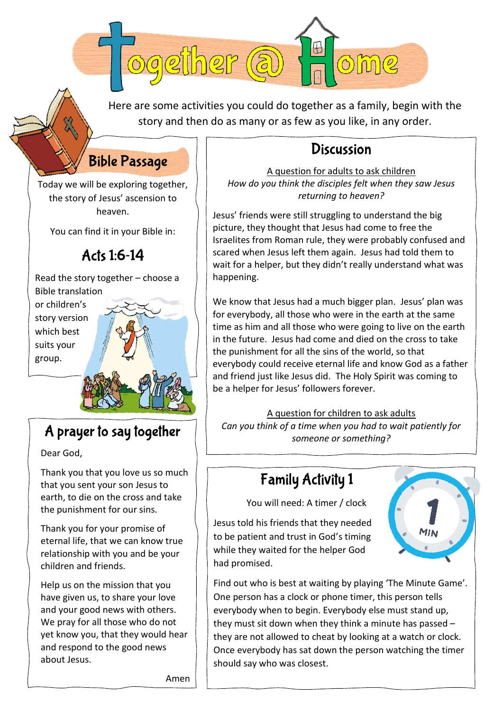Here are some activities you could do together as a family, begin with the story and then do as many or as few as you like, in any order.

## **Bible Passage**

ogether (a

Today we will be exploring together, the story of Jesus' ascension to heaven.

You can find it in your Bible in:

#### Acts 1:6-14

Read the story together – choose a Bible translation

or children's story version which best suits your group.

### A prayer to say together

Dear God,

Thank you that you love us so much that you sent your son Jesus to earth, to die on the cross and take the punishment for our sins.

Thank you for your promise of eternal life, that we can know true relationship with you and be your children and friends.

Help us on the mission that you have given us, to share your love and your good news with others. We pray for all those who do not yet know you, that they would hear and respond to the good news about Jesus.

#### **Discussion**

A question for adults to ask children *How do you think the disciples felt when they saw Jesus returning to heaven?*

Jesus' friends were still struggling to understand the big picture, they thought that Jesus had come to free the Israelites from Roman rule, they were probably confused and scared when Jesus left them again. Jesus had told them to wait for a helper, but they didn't really understand what was happening.

We know that Jesus had a much bigger plan. Jesus' plan was for everybody, all those who were in the earth at the same time as him and all those who were going to live on the earth in the future. Jesus had come and died on the cross to take the punishment for all the sins of the world, so that everybody could receive eternal life and know God as a father and friend just like Jesus did. The Holy Spirit was coming to be a helper for Jesus' followers forever.

A question for children to ask adults *Can you think of a time when you had to wait patiently for someone or something?*

## **Family Activity 1**

You will need: A timer / clock

Jesus told his friends that they needed to be patient and trust in God's timing while they waited for the helper God had promised.



Find out who is best at waiting by playing 'The Minute Game'. One person has a clock or phone timer, this person tells everybody when to begin. Everybody else must stand up, they must sit down when they think a minute has passed – they are not allowed to cheat by looking at a watch or clock. Once everybody has sat down the person watching the timer should say who was closest.

Amen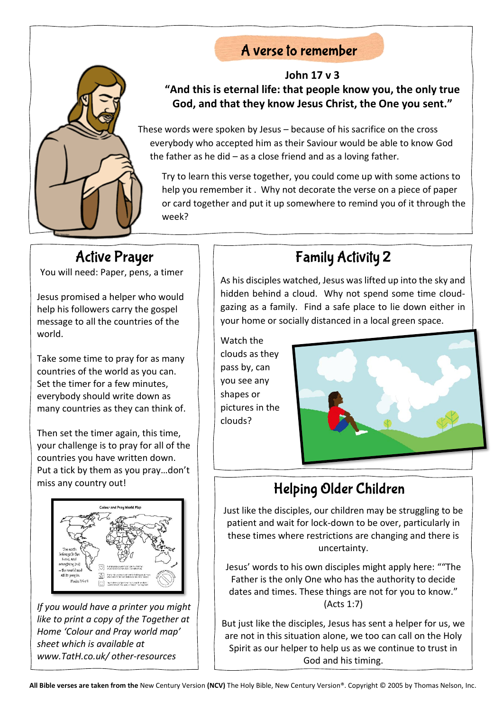### A verse to remember



#### **John 17 v 3 "And this is eternal life: that people know you, the only true God, and that they know Jesus Christ, the One you sent."**

These words were spoken by Jesus – because of his sacrifice on the cross everybody who accepted him as their Saviour would be able to know God the father as he did – as a close friend and as a loving father.

Try to learn this verse together, you could come up with some actions to help you remember it . Why not decorate the verse on a piece of paper or card together and put it up somewhere to remind you of it through the week?

**Active Prayer** You will need: Paper, pens, a timer

Jesus promised a helper who would help his followers carry the gospel message to all the countries of the world.

Take some time to pray for as many countries of the world as you can. Set the timer for a few minutes, everybody should write down as many countries as they can think of.

Then set the timer again, this time, your challenge is to pray for all of the countries you have written down. Put a tick by them as you pray…don't miss any country out!



*If you would have a printer you might like to print a copy of the Together at Home 'Colour and Pray world map' sheet which is available at www.TatH.co.uk/ other-resources*

## **Family Activity 2**

As his disciples watched, Jesus was lifted up into the sky and hidden behind a cloud. Why not spend some time cloudgazing as a family. Find a safe place to lie down either in your home or socially distanced in a local green space.

Watch the clouds as they pass by, can you see any shapes or pictures in the clouds?



## Helping Older Children

Just like the disciples, our children may be struggling to be patient and wait for lock-down to be over, particularly in these times where restrictions are changing and there is uncertainty.

Jesus' words to his own disciples might apply here: ""The Father is the only One who has the authority to decide dates and times. These things are not for you to know." (Acts 1:7)

But just like the disciples, Jesus has sent a helper for us, we are not in this situation alone, we too can call on the Holy Spirit as our helper to help us as we continue to trust in God and his timing.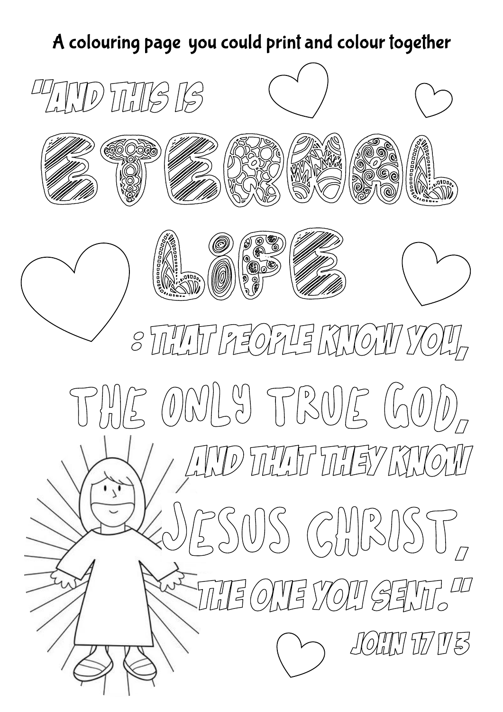# A colouring page you could print and colour together